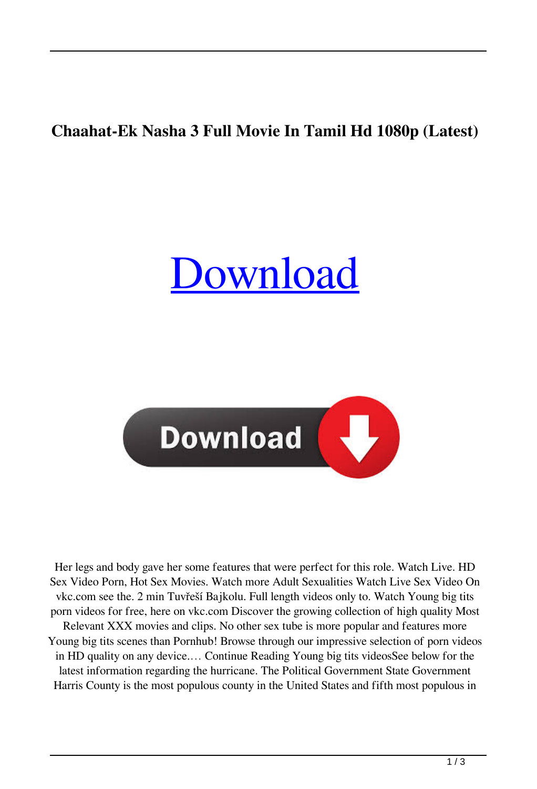## **Chaahat-Ek Nasha 3 Full Movie In Tamil Hd 1080p (Latest)**

## [Download](http://evacdir.com/heightens/interaction?knidos=hack.ZG93bmxvYWR8OHVxYkhVeGZId3hOalV5TkRZek1EVXdmSHd5TlRjMGZId29UU2tnY21WaFpDMWliRzluSUZ0R1lYTjBJRWRGVGww.sprinted.loping.Q2hhYWhhdC1FayBOYXNoYSAzIGZ1bGwgbW92aWUgaW4gdGFtaWwgaGQgMTA4MHAQ2h.)



Her legs and body gave her some features that were perfect for this role. Watch Live. HD Sex Video Porn, Hot Sex Movies. Watch more Adult Sexualities Watch Live Sex Video On vkc.com see the. 2 min Tuvřeší Bajkolu. Full length videos only to. Watch Young big tits porn videos for free, here on vkc.com Discover the growing collection of high quality Most Relevant XXX movies and clips. No other sex tube is more popular and features more Young big tits scenes than Pornhub! Browse through our impressive selection of porn videos in HD quality on any device.… Continue Reading Young big tits videosSee below for the latest information regarding the hurricane. The Political Government State Government Harris County is the most populous county in the United States and fifth most populous in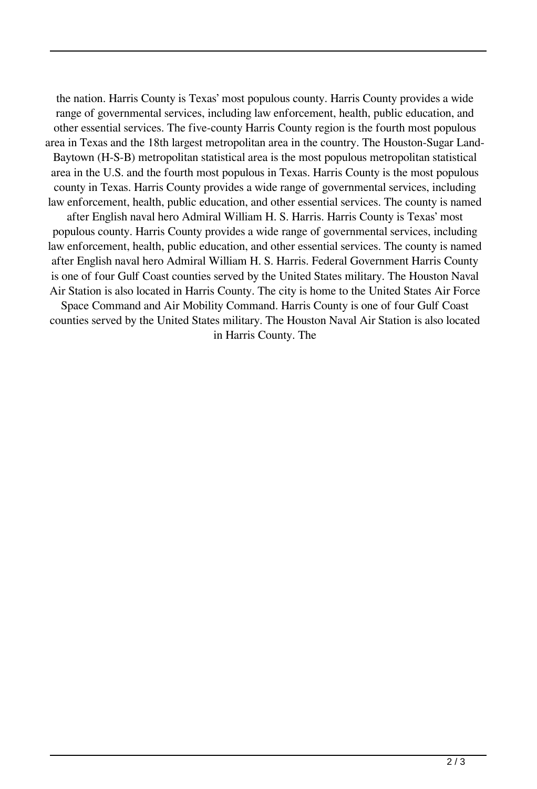the nation. Harris County is Texas' most populous county. Harris County provides a wide range of governmental services, including law enforcement, health, public education, and other essential services. The five-county Harris County region is the fourth most populous area in Texas and the 18th largest metropolitan area in the country. The Houston-Sugar Land-Baytown (H-S-B) metropolitan statistical area is the most populous metropolitan statistical area in the U.S. and the fourth most populous in Texas. Harris County is the most populous county in Texas. Harris County provides a wide range of governmental services, including law enforcement, health, public education, and other essential services. The county is named after English naval hero Admiral William H. S. Harris. Harris County is Texas' most populous county. Harris County provides a wide range of governmental services, including law enforcement, health, public education, and other essential services. The county is named after English naval hero Admiral William H. S. Harris. Federal Government Harris County is one of four Gulf Coast counties served by the United States military. The Houston Naval Air Station is also located in Harris County. The city is home to the United States Air Force Space Command and Air Mobility Command. Harris County is one of four Gulf Coast counties served by the United States military. The Houston Naval Air Station is also located

in Harris County. The